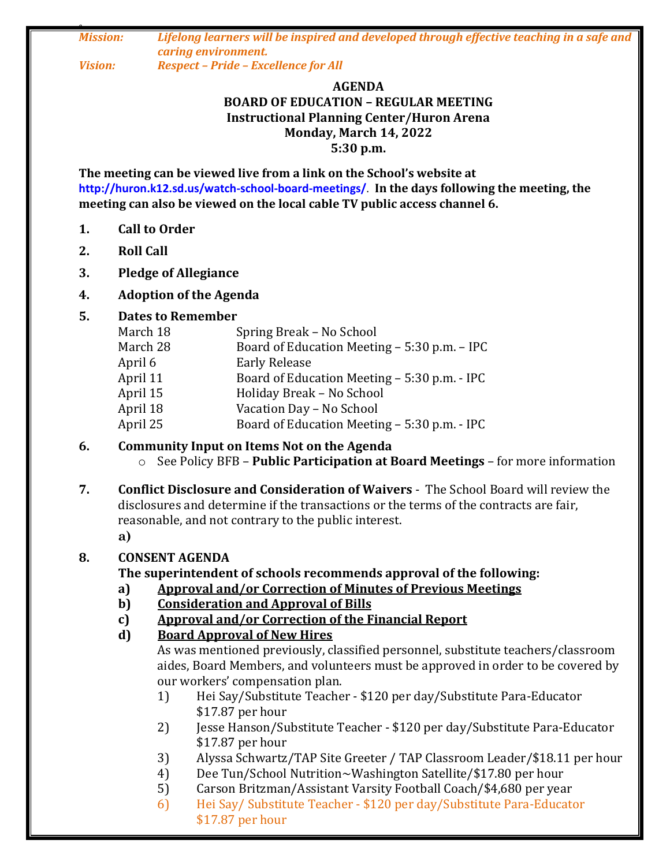*0 Mission: Lifelong learners will be inspired and developed through effective teaching in a safe and caring environment. Vision: Respect – Pride – Excellence for All*

#### **AGENDA BOARD OF EDUCATION – REGULAR MEETING Instructional Planning Center/Huron Arena Monday, March 14, 2022 5:30 p.m.**

**The meeting can be viewed live from a link on the School's website at http://huron.k12.sd.us/watch-school-board-meetings/**. **In the days following the meeting, the meeting can also be viewed on the local cable TV public access channel 6.**

- **1. Call to Order**
- **2. Roll Call**
- **3. Pledge of Allegiance**

## **4. Adoption of the Agenda**

#### **5. Dates to Remember**

| March 18 | Spring Break - No School                     |
|----------|----------------------------------------------|
| March 28 | Board of Education Meeting - 5:30 p.m. - IPC |
| April 6  | <b>Early Release</b>                         |
| April 11 | Board of Education Meeting - 5:30 p.m. - IPC |
| April 15 | Holiday Break - No School                    |
| April 18 | Vacation Day - No School                     |
| April 25 | Board of Education Meeting - 5:30 p.m. - IPC |

#### **6. Community Input on Items Not on the Agenda** o See Policy BFB – **Public Participation at Board Meetings** – for more information

**7. Conflict Disclosure and Consideration of Waivers** - The School Board will review the disclosures and determine if the transactions or the terms of the contracts are fair, reasonable, and not contrary to the public interest. **a)**

## **8. CONSENT AGENDA**

## **The superintendent of schools recommends approval of the following:**

- **a) Approval and/or Correction of Minutes of Previous Meetings**
- **b) Consideration and Approval of Bills**
- **c) Approval and/or Correction of the Financial Report**
- **d) Board Approval of New Hires**

As was mentioned previously, classified personnel, substitute teachers/classroom aides, Board Members, and volunteers must be approved in order to be covered by our workers' compensation plan.

- 1) Hei Say/Substitute Teacher \$120 per day/Substitute Para-Educator \$17.87 per hour
- 2) Jesse Hanson/Substitute Teacher \$120 per day/Substitute Para-Educator \$17.87 per hour
- 3) Alyssa Schwartz/TAP Site Greeter / TAP Classroom Leader/\$18.11 per hour
- 4) Dee Tun/School Nutrition~Washington Satellite/\$17.80 per hour
- 5) Carson Britzman/Assistant Varsity Football Coach/\$4,680 per year
- 6) Hei Say/ Substitute Teacher \$120 per day/Substitute Para-Educator \$17.87 per hour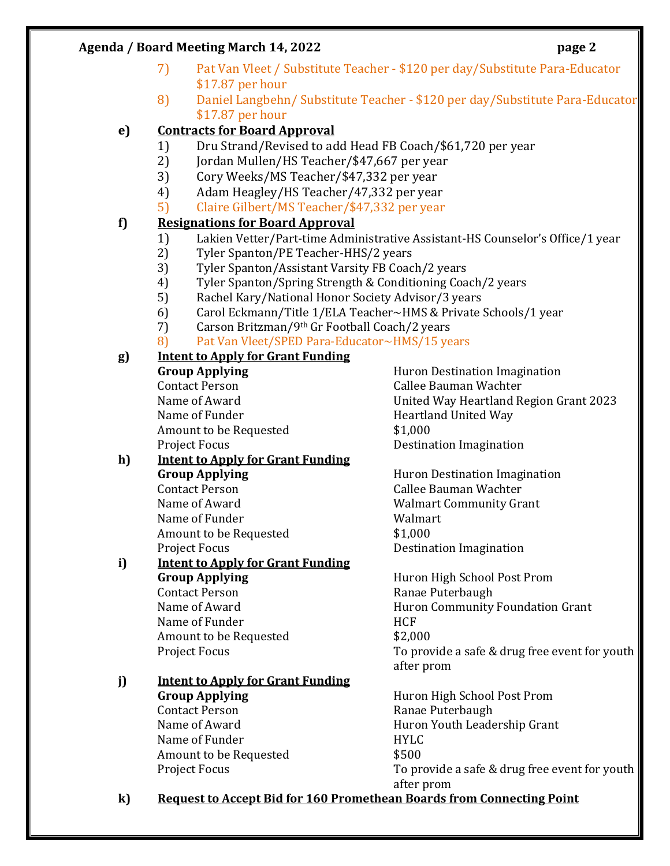#### **Agenda / Board Meeting March 14, 2022 page 2**

- 7) Pat Van Vleet / Substitute Teacher \$120 per day/Substitute Para-Educator \$17.87 per hour
- 8) Daniel Langbehn/ Substitute Teacher \$120 per day/Substitute Para-Educator \$17.87 per hour

## **e) Contracts for Board Approval**

- 1) Dru Strand/Revised to add Head FB Coach/\$61,720 per year
- 2) Jordan Mullen/HS Teacher/\$47,667 per year
- 3) Cory Weeks/MS Teacher/\$47,332 per year
- 4) Adam Heagley/HS Teacher/47,332 per year
- 5) Claire Gilbert/MS Teacher/\$47,332 per year

## **f) Resignations for Board Approval**

- 1) Lakien Vetter/Part-time Administrative Assistant-HS Counselor's Office/1 year
- 2) Tyler Spanton/PE Teacher-HHS/2 years
- 3) Tyler Spanton/Assistant Varsity FB Coach/2 years
- 4) Tyler Spanton/Spring Strength & Conditioning Coach/2 years
- 5) Rachel Kary/National Honor Society Advisor/3 years
- 6) Carol Eckmann/Title 1/ELA Teacher~HMS & Private Schools/1 year
- 7) Carson Britzman/9th Gr Football Coach/2 years
- 8) Pat Van Vleet/SPED Para-Educator~HMS/15 years

# **g) Intent to Apply for Grant Funding Group Applying Huron Destination Imagination**

Name of Funder **Heartland United Way** Amount to be Requested  $$1,000$ Project Focus **Destination Imagination** 

# Contact Person Callee Bauman Wachter Name of Award United Way Heartland Region Grant 2023

#### **h) Intent to Apply for Grant Funding Group Applying Example 20** Huron Destination Imagination Contact Person Callee Bauman Wachter

Name of Funder Name of Funder Walmart Amount to be Requested  $$1,000$ 

# **i) Intent to Apply for Grant Funding Group Applying** Huron High School Post Prom Contact Person **Ranae Puterbaugh** Name of Funder Name SHCF Amount to be Requested  $$2,000$

#### **j) Intent to Apply for Grant Funding Group Applying Huron High School Post Prom** Contact Person **Ranae Puterbaugh** Name of Award **Huron Youth Leadership Grant** Name of Funder **HYLC** Amount to be Requested  $$500$

Name of Award Walmart Community Grant Project Focus **Destination** Imagination

Name of Award **Huron Community Foundation Grant** Project Focus To provide a safe & drug free event for youth after prom

Project Focus To provide a safe & drug free event for youth after prom

**k) Request to Accept Bid for 160 Promethean Boards from Connecting Point**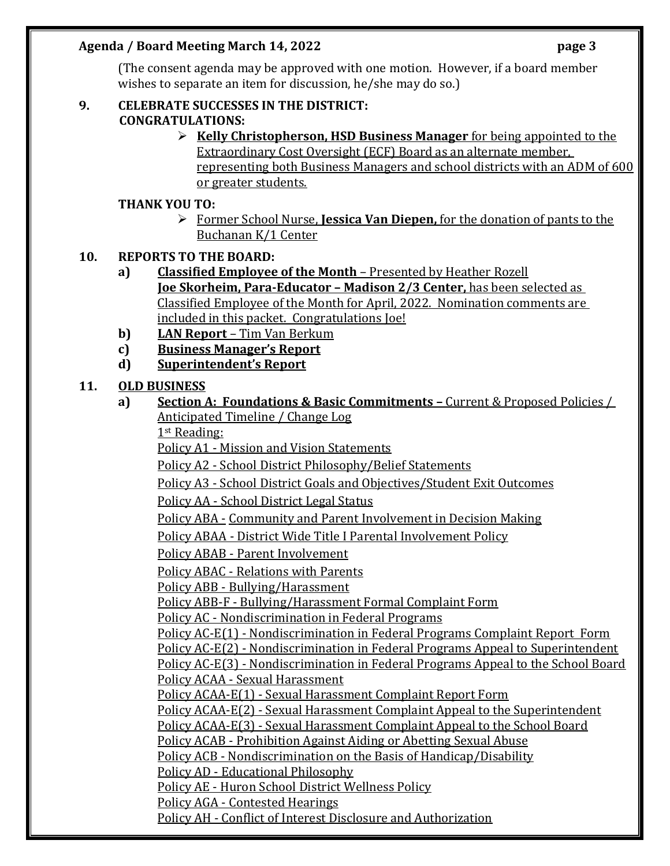## **Agenda / Board Meeting March 14, 2022 page 3**

(The consent agenda may be approved with one motion. However, if a board member wishes to separate an item for discussion, he/she may do so.)

## **9. CELEBRATE SUCCESSES IN THE DISTRICT: CONGRATULATIONS:**

 **Kelly Christopherson, HSD Business Manager** for being appointed to the Extraordinary Cost Oversight (ECF) Board as an alternate member, representing both Business Managers and school districts with an ADM of 600 or greater students.

# **THANK YOU TO:**

 Former School Nurse, **Jessica Van Diepen,** for the donation of pants to the Buchanan K/1 Center

# **10. REPORTS TO THE BOARD:**

- **a) Classified Employee of the Month** Presented by Heather Rozell **Joe Skorheim, Para-Educator – Madison 2/3 Center,** has been selected as Classified Employee of the Month for April, 2022. Nomination comments are included in this packet. Congratulations Joe!
- **b) LAN Report**  Tim Van Berkum
- **c) Business Manager's Report**
- **d) Superintendent's Report**

# **11. OLD BUSINESS**

**a) Section A: Foundations & Basic Commitments –** Current & Proposed Policies / Anticipated Timeline / Change Log

1st Reading:

Policy A1 - Mission and Vision Statements

Policy A2 - School District Philosophy/Belief Statements

Policy A3 - School District Goals and Objectives/Student Exit Outcomes

Policy AA - School District Legal Status

Policy ABA - Community and Parent Involvement in Decision Making

Policy ABAA - District Wide Title I Parental Involvement Policy

Policy ABAB - Parent Involvement

Policy ABAC - Relations with Parents

Policy ABB - Bullying/Harassment

Policy ABB-F - Bullying/Harassment Formal Complaint Form

Policy AC - Nondiscrimination in Federal Programs

Policy AC-E(1) - Nondiscrimination in Federal Programs Complaint Report Form

Policy AC-E(2) - Nondiscrimination in Federal Programs Appeal to Superintendent

Policy AC-E(3) - Nondiscrimination in Federal Programs Appeal to the School Board Policy ACAA - Sexual Harassment

Policy ACAA-E(1) - Sexual Harassment Complaint Report Form

Policy ACAA-E(2) - Sexual Harassment Complaint Appeal to the Superintendent

Policy ACAA-E(3) - Sexual Harassment Complaint Appeal to the School Board

Policy ACAB - Prohibition Against Aiding or Abetting Sexual Abuse

Policy ACB - Nondiscrimination on the Basis of Handicap/Disability

Policy AD - Educational Philosophy

Policy AE - Huron School District Wellness Policy

Policy AGA - Contested Hearings

Policy AH - Conflict of Interest Disclosure and Authorization